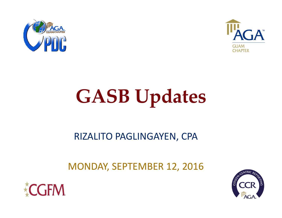



# **GASB Updates**

## RIZALITO PAGLINGAYEN, CPA

## MONDAY, SEPTEMBER 12, 2016



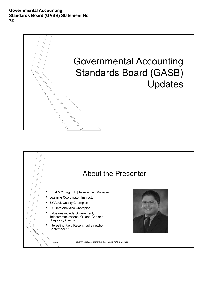

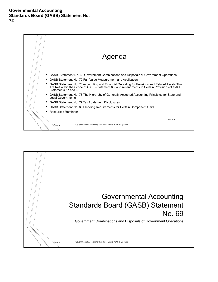

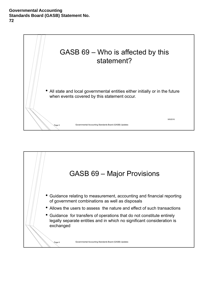

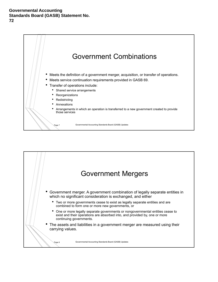

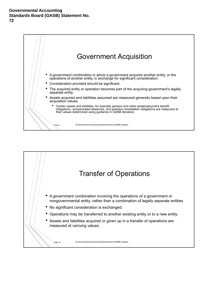

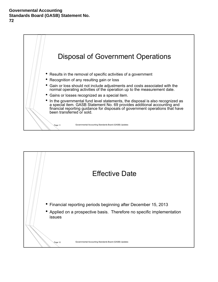

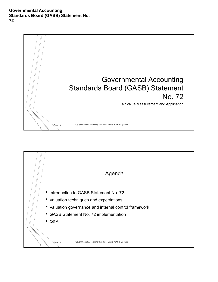

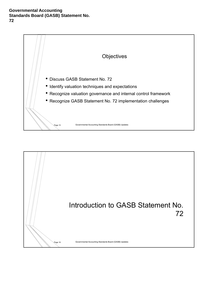

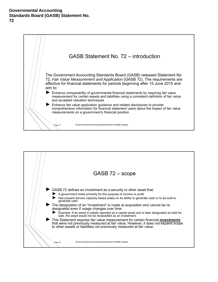

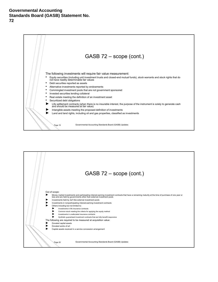

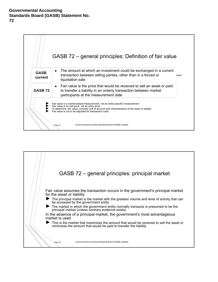

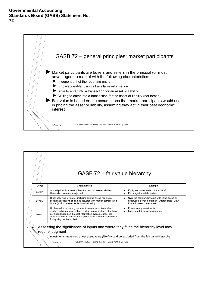

### GASB 72 – fair value hierarchy

| Level   | Characteristic                                                                                                                                                                                                                                                                                  | Example                                                                                                                                               |
|---------|-------------------------------------------------------------------------------------------------------------------------------------------------------------------------------------------------------------------------------------------------------------------------------------------------|-------------------------------------------------------------------------------------------------------------------------------------------------------|
| Level 1 | Quoted prices in active markets for identical assets/liabilities.<br>Generally prices are unadjusted                                                                                                                                                                                            | Equity securities traded on the NYSE<br>▶<br>Exchange-traded derivatives                                                                              |
| Level 2 | Other observable inputs – including quoted prices (for similar<br>assets/liabilities) which can be adjusted with market-corroborated<br>inputs (such as discounts for liquidity/credit)                                                                                                         | Over-the-counter derivative with value based on<br>$\blacksquare$<br>observable London Interbank Offered Rate (LIBOR)<br>forward interest rate curves |
| Level 3 | Unobservable inputs - government's own assumptions about<br>market participant assumptions, including assumptions about risk,<br>developed based on the best information available under the<br>circumstances; may include the government's own data; discounts<br>for liquidity can be applied | Private equity investments<br>▶<br>Long-dated financial instruments<br>٠                                                                              |
|         | Assessing the significance of inputs and where they fit on the hierarchy level may                                                                                                                                                                                                              |                                                                                                                                                       |
|         | require judgment                                                                                                                                                                                                                                                                                |                                                                                                                                                       |
|         | * Investments measured at net asset value (NAV) would be excluded from the fair value hierarchy                                                                                                                                                                                                 |                                                                                                                                                       |
|         |                                                                                                                                                                                                                                                                                                 |                                                                                                                                                       |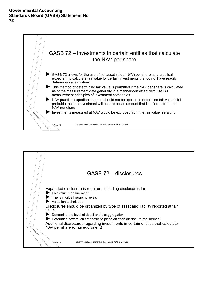

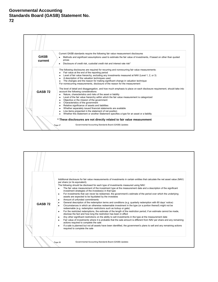

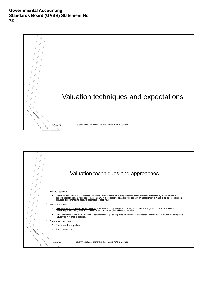

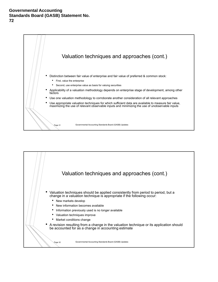

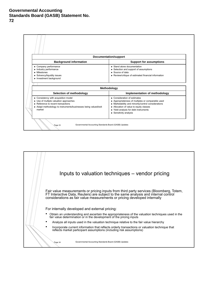

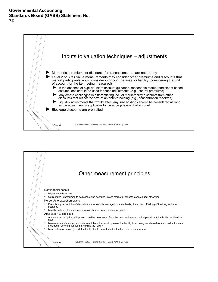

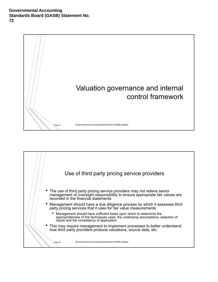

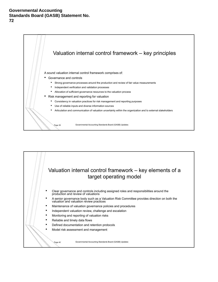

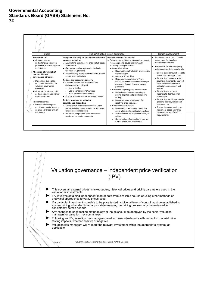

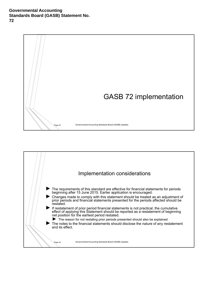

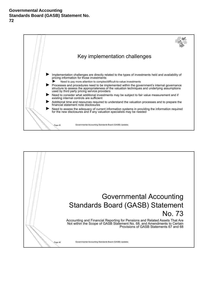

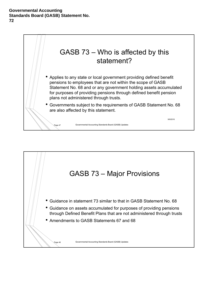

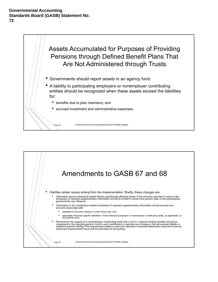

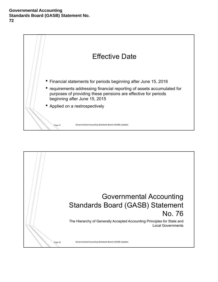

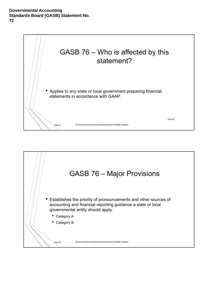

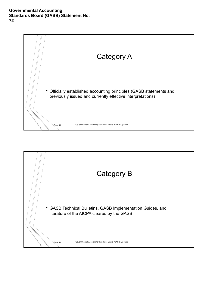

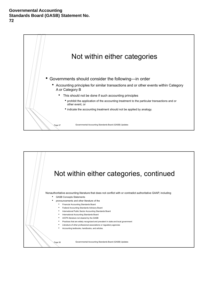

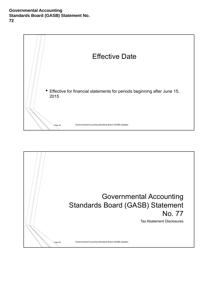

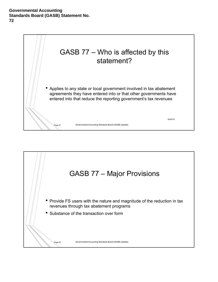

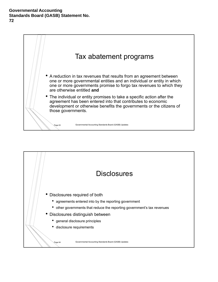

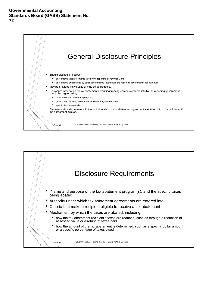

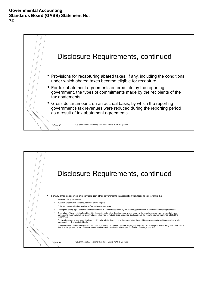

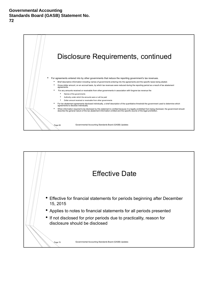

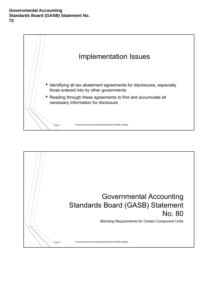

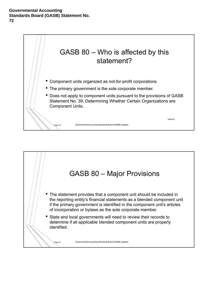

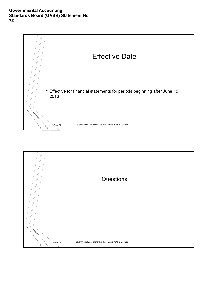